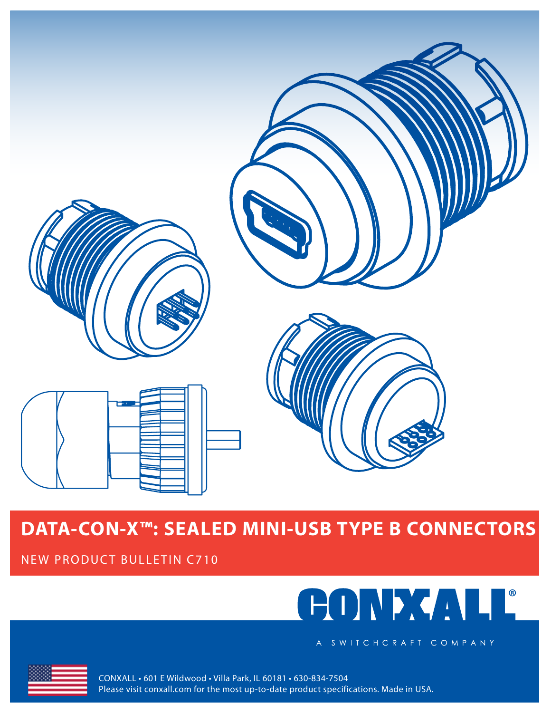

NEW PRODUCT BULLETIN C710



A SWITCHCRAFT COMPANY



CONXALL • 601 E Wildwood • Villa Park, IL 60181 • 630-834-7504 Please visit conxall.com for the most up-to-date product specifications. Made in USA.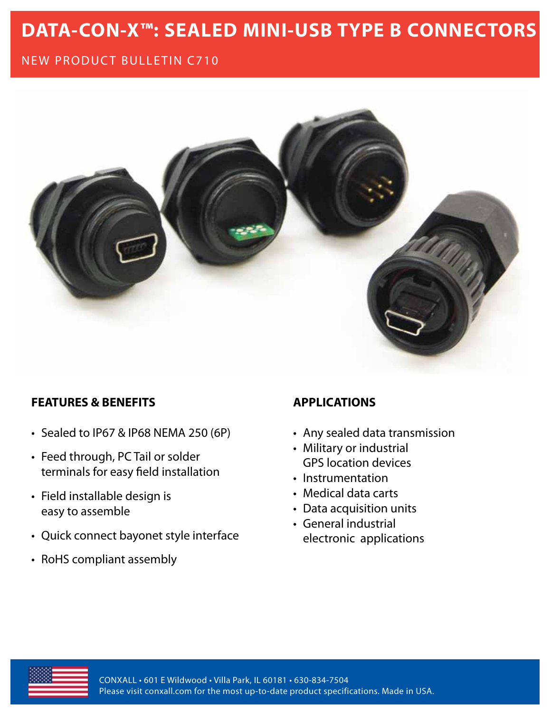## NEW PRODUCT BULLETIN C710



### **FEATURES & BENEFITS**

- Sealed to IP67 & IP68 NEMA 250 (6P)
- Feed through, PC Tail or solder terminals for easy field installation
- Field installable design is easy to assemble
- Quick connect bayonet style interface
- RoHS compliant assembly

### **APPLICATIONS**

- Any sealed data transmission
- Military or industrial GPS location devices
- Instrumentation
- Medical data carts
- Data acquisition units
- General industrial electronic applications

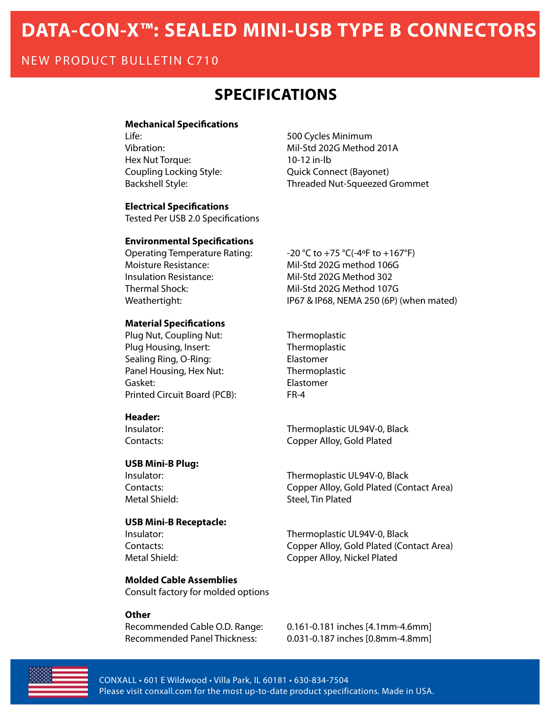### NEW PRODUCT BULLETIN C710

## **Specifications**

#### **Mechanical Specifications**

Life: 500 Cycles Minimum Hex Nut Torque: 10-12 in-lb

Vibration: Whil-Std 202G Method 201A Coupling Locking Style: Quick Connect (Bayonet) Backshell Style: Threaded Nut-Squeezed Grommet

**Electrical Specifications**

Tested Per USB 2.0 Specifications

#### **Environmental Specifications**

Operating Temperature Rating:  $-20 °C$  to +75 °C(-4°F to +167°F) Moisture Resistance: Mil-Std 202G method 106G Insulation Resistance: Mil-Std 202G Method 302 Thermal Shock: Mil-Std 202G Method 107G

#### **Material Specifications**

Plug Nut, Coupling Nut: Thermoplastic Plug Housing, Insert: Thermoplastic Sealing Ring, O-Ring: Elastomer Panel Housing, Hex Nut: Thermoplastic Gasket: Elastomer Printed Circuit Board (PCB): FR-4

#### **Header:**

#### **USB Mini-B Plug:**

#### **USB Mini-B Receptacle:**

#### **Molded Cable Assemblies**

Consult factory for molded options

#### **Other**

Weathertight: IP67 & IP68, NEMA 250 (6P) (when mated)

Insulator: Thermoplastic UL94V-0, Black Contacts: Copper Alloy, Gold Plated

Insulator: Thermoplastic UL94V-0, Black Contacts: Copper Alloy, Gold Plated (Contact Area) Metal Shield: Steel, Tin Plated

Insulator: Thermoplastic UL94V-0, Black Contacts: Copper Alloy, Gold Plated (Contact Area) Metal Shield: Copper Alloy, Nickel Plated

Recommended Cable O.D. Range: 0.161-0.181 inches [4.1mm-4.6mm] Recommended Panel Thickness: 0.031-0.187 inches [0.8mm-4.8mm]



CONXALL • 601 E Wildwood • Villa Park, IL 60181 • 630-834-7504 Please visit conxall.com for the most up-to-date product specifications. Made in USA.